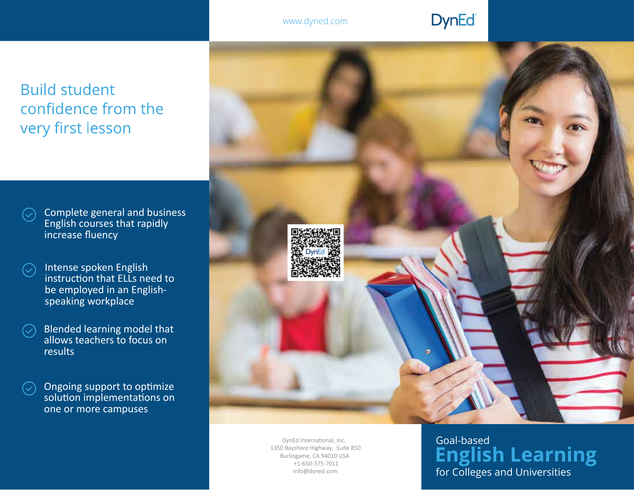## **DynEd**

**Build student** confidence from the very first lesson

Complete general and business  $\left(\rightthreetimes$ English courses that rapidly increase fluency

- Intense spoken English  $\bigcirc$ instruction that ELLs need to be employed in an Englishspeaking workplace
- Blended learning model that  $(\hspace{.06cm}\diagdown\hspace{.04cm})$ allows teachers to focus on results
- Ongoing support to optimize  $(\mathcal{S})$ solution implementations on one or more campuses



DynEd International, Inc. 1350 Bayshore Highway, Suite 850 Burlingame, CA 94010 USA +1-650-375-7011 info@dyned.com

# Goal-based<br>**English Learning** for Colleges and Universities